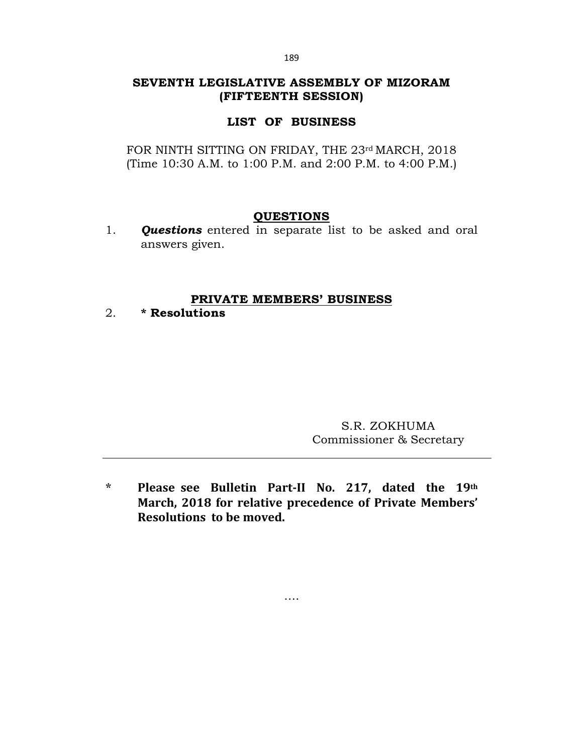## **SEVENTH LEGISLATIVE ASSEMBLY OF MIZORAM (FIFTEENTH SESSION)**

# **LIST OF BUSINESS**

FOR NINTH SITTING ON FRIDAY, THE 23rd MARCH, 2018 (Time 10:30 A.M. to 1:00 P.M. and 2:00 P.M. to 4:00 P.M.)

## **QUESTIONS**

1. *Questions* entered in separate list to be asked and oral answers given.

## **PRIVATE MEMBERS' BUSINESS**

2. **\* Resolutions**

S.R. ZOKHUMA Commissioner & Secretary

**\* Please see Bulletin Part-II No. 217, dated the 19th March, 2018 for relative precedence of Private Members' Resolutions to be moved.**

….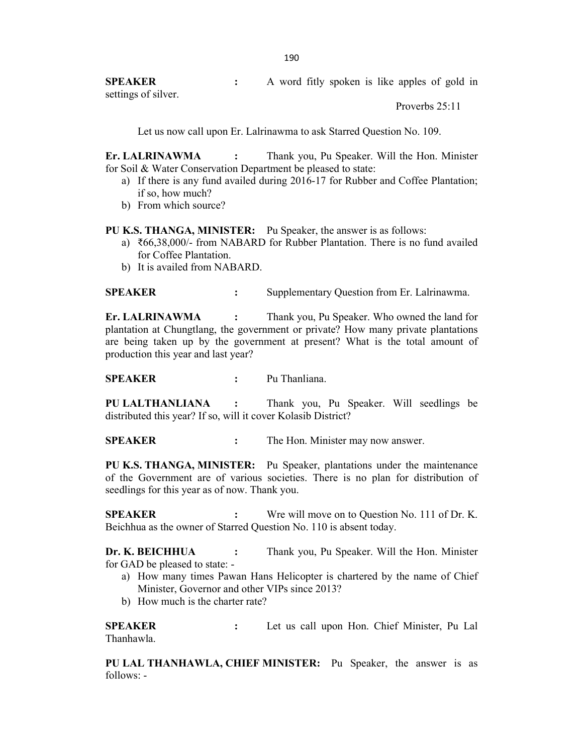**SPEAKER :** A word fitly spoken is like apples of gold in settings of silver.

Proverbs 25:11

Let us now call upon Er. Lalrinawma to ask Starred Question No. 109.

**Er. LALRINAWMA :** Thank you, Pu Speaker. Will the Hon. Minister for Soil & Water Conservation Department be pleased to state:

- a) If there is any fund availed during 2016-17 for Rubber and Coffee Plantation; if so, how much?
- b) From which source?

**PU K.S. THANGA, MINISTER:** Pu Speaker, the answer is as follows:

- a) ₹66,38,000/- from NABARD for Rubber Plantation. There is no fund availed for Coffee Plantation.
- b) It is availed from NABARD.

**SPEAKER :** Supplementary Question from Er. Lalrinawma.

**Er. LALRINAWMA :** Thank you, Pu Speaker. Who owned the land for plantation at Chungtlang, the government or private? How many private plantations are being taken up by the government at present? What is the total amount of production this year and last year?

#### **SPEAKER :** Pu Thanliana.

**PU LALTHANLIANA :** Thank you, Pu Speaker. Will seedlings be distributed this year? If so, will it cover Kolasib District?

**SPEAKER :** The Hon. Minister may now answer.

**PU K.S. THANGA, MINISTER:** Pu Speaker, plantations under the maintenance of the Government are of various societies. There is no plan for distribution of seedlings for this year as of now. Thank you.

**SPEAKER :** Wre will move on to Question No. 111 of Dr. K. Beichhua as the owner of Starred Question No. 110 is absent today.

**Dr. K. BEICHHUA :** Thank you, Pu Speaker. Will the Hon. Minister for GAD be pleased to state: -

- a) How many times Pawan Hans Helicopter is chartered by the name of Chief Minister, Governor and other VIPs since 2013?
- b) How much is the charter rate?

**SPEAKER :** Let us call upon Hon. Chief Minister, Pu Lal Thanhawla.

**PU LAL THANHAWLA, CHIEF MINISTER:** Pu Speaker, the answer is as follows: -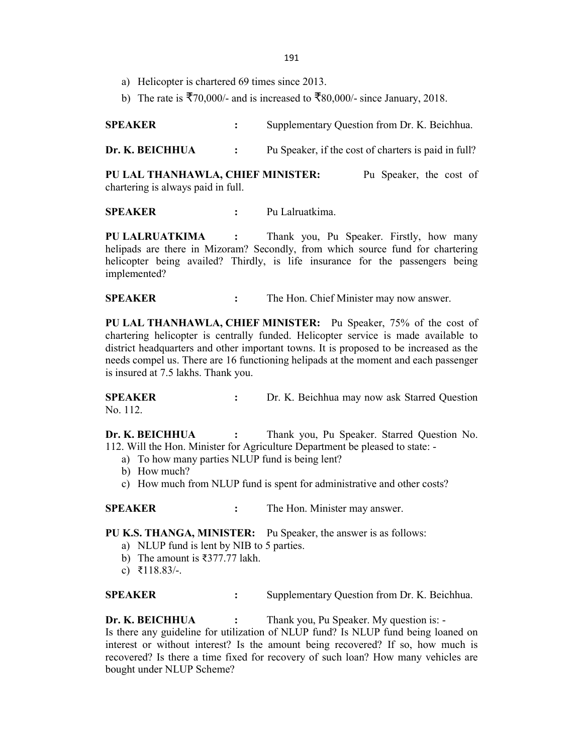- 191
- a) Helicopter is chartered 69 times since 2013.
- b) The rate is  $\overline{5}70,000/4$  and is increased to  $\overline{5}80,000/4$  since January, 2018.

**SPEAKER :** Supplementary Question from Dr. K. Beichhua.

**Dr. K. BEICHHUA** : Pu Speaker, if the cost of charters is paid in full?

**PU LAL THANHAWLA, CHIEF MINISTER:** Pu Speaker, the cost of chartering is always paid in full.

**SPEAKER :** Pu Lalruatkima.

**PU LALRUATKIMA :** Thank you, Pu Speaker. Firstly, how many helipads are there in Mizoram? Secondly, from which source fund for chartering helicopter being availed? Thirdly, is life insurance for the passengers being implemented?

**SPEAKER :** The Hon. Chief Minister may now answer.

**PU LAL THANHAWLA, CHIEF MINISTER:** Pu Speaker, 75% of the cost of chartering helicopter is centrally funded. Helicopter service is made available to district headquarters and other important towns. It is proposed to be increased as the needs compel us. There are 16 functioning helipads at the moment and each passenger is insured at 7.5 lakhs. Thank you.

**SPEAKER :** Dr. K. Beichhua may now ask Starred Question No. 112.

**Dr. K. BEICHHUA :** Thank you, Pu Speaker. Starred Question No. 112. Will the Hon. Minister for Agriculture Department be pleased to state: -

- a) To how many parties NLUP fund is being lent?
- b) How much?
- c) How much from NLUP fund is spent for administrative and other costs?

**SPEAKER :** The Hon. Minister may answer.

**PU K.S. THANGA, MINISTER:** Pu Speaker, the answer is as follows:

- a) NLUP fund is lent by NIB to 5 parties.
- b) The amount is ₹377.77 lakh.
- c) ₹118.83/-.

**SPEAKER :** Supplementary Question from Dr. K. Beichhua.

**Dr. K. BEICHHUA** : Thank you, Pu Speaker. My question is: -Is there any guideline for utilization of NLUP fund? Is NLUP fund being loaned on interest or without interest? Is the amount being recovered? If so, how much is recovered? Is there a time fixed for recovery of such loan? How many vehicles are bought under NLUP Scheme?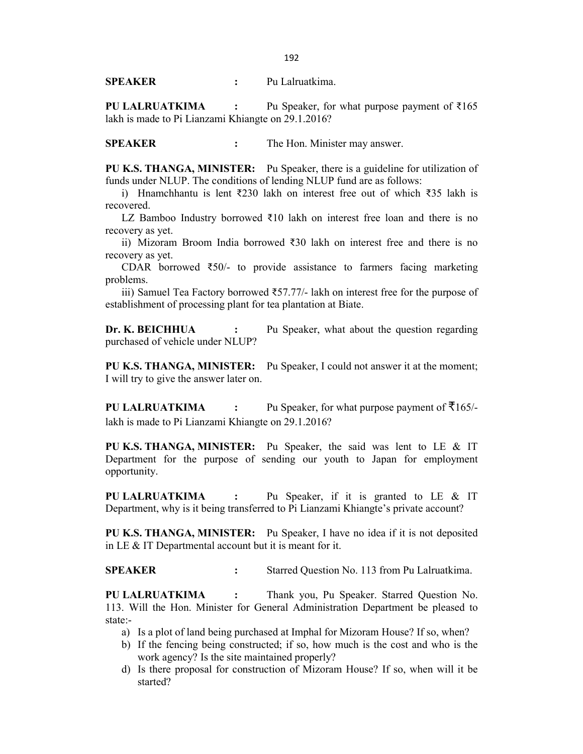**SPEAKER :** Pu Lalruatkima.

**PU LALRUATKIMA :** Pu Speaker, for what purpose payment of ₹165 lakh is made to Pi Lianzami Khiangte on 29.1.2016?

**SPEAKER :** The Hon. Minister may answer.

**PU K.S. THANGA, MINISTER:** Pu Speaker, there is a guideline for utilization of funds under NLUP. The conditions of lending NLUP fund are as follows:

i) Hnamchhantu is lent ₹230 lakh on interest free out of which ₹35 lakh is recovered.

LZ Bamboo Industry borrowed ₹10 lakh on interest free loan and there is no recovery as yet.

ii) Mizoram Broom India borrowed ₹30 lakh on interest free and there is no recovery as yet.

CDAR borrowed ₹50/- to provide assistance to farmers facing marketing problems.

iii) Samuel Tea Factory borrowed ₹57.77/- lakh on interest free for the purpose of establishment of processing plant for tea plantation at Biate.

**Dr. K. BEICHHUA :** Pu Speaker, what about the question regarding purchased of vehicle under NLUP?

**PU K.S. THANGA, MINISTER:** Pu Speaker, I could not answer it at the moment; I will try to give the answer later on.

**PU LALRUATKIMA :** Pu Speaker, for what purpose payment of ₹165/ lakh is made to Pi Lianzami Khiangte on 29.1.2016?

**PU K.S. THANGA, MINISTER:** Pu Speaker, the said was lent to LE & IT Department for the purpose of sending our youth to Japan for employment opportunity.

**PU LALRUATKIMA :** Pu Speaker, if it is granted to LE & IT Department, why is it being transferred to Pi Lianzami Khiangte's private account?

**PU K.S. THANGA, MINISTER:** Pu Speaker, I have no idea if it is not deposited in LE & IT Departmental account but it is meant for it.

**SPEAKER :** Starred Question No. 113 from Pu Lalruatkima.

**PU LALRUATKIMA :** Thank you, Pu Speaker. Starred Question No. 113. Will the Hon. Minister for General Administration Department be pleased to state:-

- a) Is a plot of land being purchased at Imphal for Mizoram House? If so, when?
- b) If the fencing being constructed; if so, how much is the cost and who is the work agency? Is the site maintained properly?
- d) Is there proposal for construction of Mizoram House? If so, when will it be started?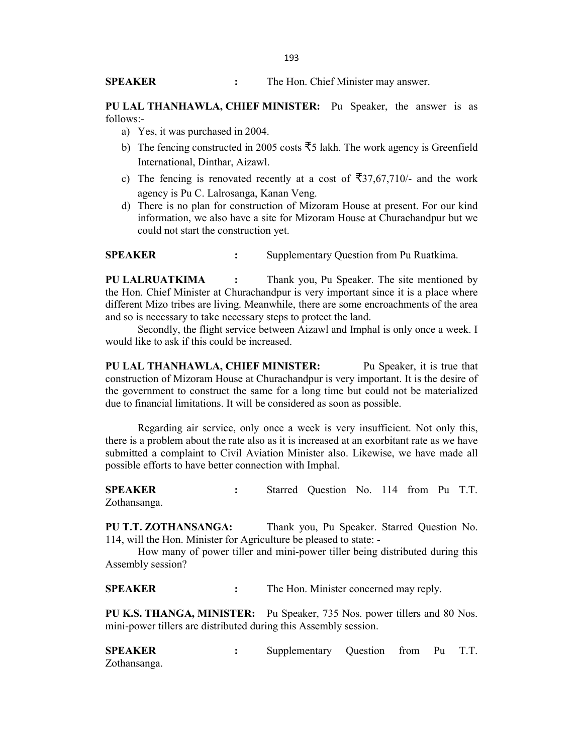**SPEAKER :** The Hon. Chief Minister may answer.

**PU LAL THANHAWLA, CHIEF MINISTER:** Pu Speaker, the answer is as follows:-

- a) Yes, it was purchased in 2004.
- b) The fencing constructed in 2005 costs  $\overline{5}5$  lakh. The work agency is Greenfield International, Dinthar, Aizawl.
- c) The fencing is renovated recently at a cost of  $\overline{5}37,67,710/4$  and the work agency is Pu C. Lalrosanga, Kanan Veng.
- d) There is no plan for construction of Mizoram House at present. For our kind information, we also have a site for Mizoram House at Churachandpur but we could not start the construction yet.

**SPEAKER** : Supplementary Question from Pu Ruatkima.

**PU LALRUATKIMA :** Thank you, Pu Speaker. The site mentioned by the Hon. Chief Minister at Churachandpur is very important since it is a place where different Mizo tribes are living. Meanwhile, there are some encroachments of the area and so is necessary to take necessary steps to protect the land.

Secondly, the flight service between Aizawl and Imphal is only once a week. I would like to ask if this could be increased.

**PU LAL THANHAWLA, CHIEF MINISTER:** Pu Speaker, it is true that construction of Mizoram House at Churachandpur is very important. It is the desire of the government to construct the same for a long time but could not be materialized due to financial limitations. It will be considered as soon as possible.

Regarding air service, only once a week is very insufficient. Not only this, there is a problem about the rate also as it is increased at an exorbitant rate as we have submitted a complaint to Civil Aviation Minister also. Likewise, we have made all possible efforts to have better connection with Imphal.

**SPEAKER :** Starred Question No. 114 from Pu T.T. Zothansanga.

**PU T.T. ZOTHANSANGA:** Thank you, Pu Speaker. Starred Question No. 114, will the Hon. Minister for Agriculture be pleased to state: -

How many of power tiller and mini-power tiller being distributed during this Assembly session?

**SPEAKER :** The Hon. Minister concerned may reply.

**PU K.S. THANGA, MINISTER:** Pu Speaker, 735 Nos. power tillers and 80 Nos. mini-power tillers are distributed during this Assembly session.

**SPEAKER :** Supplementary Question from Pu T.T. Zothansanga.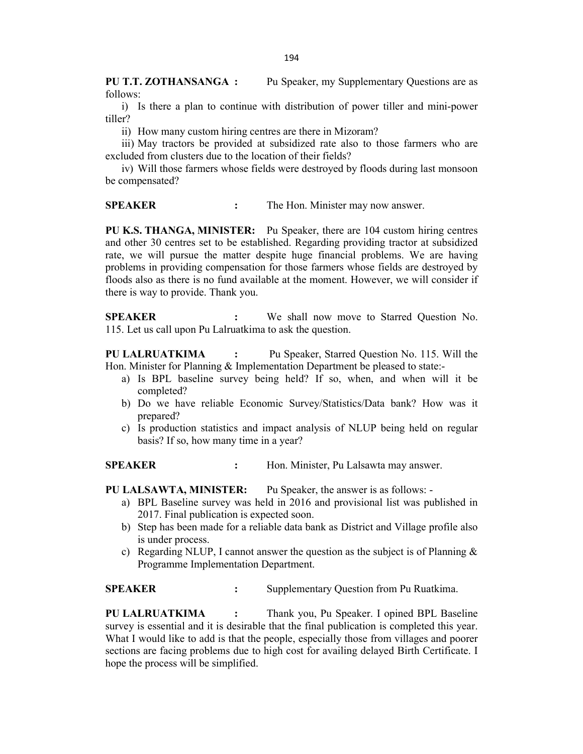**PU T.T. ZOTHANSANGA :** Pu Speaker, my Supplementary Questions are as follows:

i) Is there a plan to continue with distribution of power tiller and mini-power tiller?

ii) How many custom hiring centres are there in Mizoram?

iii) May tractors be provided at subsidized rate also to those farmers who are excluded from clusters due to the location of their fields?

iv) Will those farmers whose fields were destroyed by floods during last monsoon be compensated?

**SPEAKER :** The Hon. Minister may now answer.

**PU K.S. THANGA, MINISTER:** Pu Speaker, there are 104 custom hiring centres and other 30 centres set to be established. Regarding providing tractor at subsidized rate, we will pursue the matter despite huge financial problems. We are having problems in providing compensation for those farmers whose fields are destroyed by floods also as there is no fund available at the moment. However, we will consider if there is way to provide. Thank you.

**SPEAKER :** We shall now move to Starred Question No. 115. Let us call upon Pu Lalruatkima to ask the question.

**PU LALRUATKIMA :** Pu Speaker, Starred Question No. 115. Will the Hon. Minister for Planning & Implementation Department be pleased to state:-

- a) Is BPL baseline survey being held? If so, when, and when will it be completed?
- b) Do we have reliable Economic Survey/Statistics/Data bank? How was it prepared?
- c) Is production statistics and impact analysis of NLUP being held on regular basis? If so, how many time in a year?

**SPEAKER :** Hon. Minister, Pu Lalsawta may answer.

**PU LALSAWTA, MINISTER:** Pu Speaker, the answer is as follows: -

- a) BPL Baseline survey was held in 2016 and provisional list was published in 2017. Final publication is expected soon.
- b) Step has been made for a reliable data bank as District and Village profile also is under process.
- c) Regarding NLUP, I cannot answer the question as the subject is of Planning  $\&$ Programme Implementation Department.

**SPEAKER** : Supplementary Question from Pu Ruatkima.

**PU LALRUATKIMA :** Thank you, Pu Speaker. I opined BPL Baseline survey is essential and it is desirable that the final publication is completed this year. What I would like to add is that the people, especially those from villages and poorer sections are facing problems due to high cost for availing delayed Birth Certificate. I hope the process will be simplified.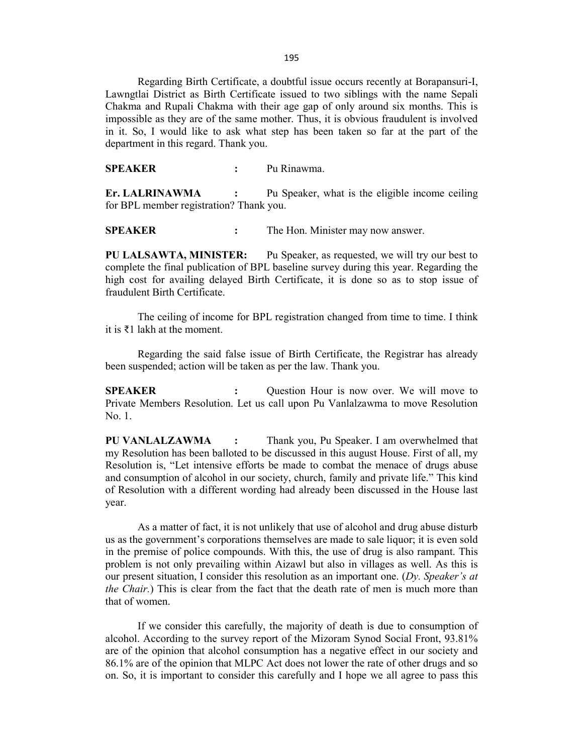195

Regarding Birth Certificate, a doubtful issue occurs recently at Borapansuri-I, Lawngtlai District as Birth Certificate issued to two siblings with the name Sepali Chakma and Rupali Chakma with their age gap of only around six months. This is impossible as they are of the same mother. Thus, it is obvious fraudulent is involved in it. So, I would like to ask what step has been taken so far at the part of the department in this regard. Thank you.

**SPEAKER :** Pu Rinawma.

**Er. LALRINAWMA :** Pu Speaker, what is the eligible income ceiling for BPL member registration? Thank you.

**SPEAKER :** The Hon. Minister may now answer.

**PU LALSAWTA, MINISTER:** Pu Speaker, as requested, we will try our best to complete the final publication of BPL baseline survey during this year. Regarding the high cost for availing delayed Birth Certificate, it is done so as to stop issue of fraudulent Birth Certificate.

The ceiling of income for BPL registration changed from time to time. I think it is ₹1 lakh at the moment.

Regarding the said false issue of Birth Certificate, the Registrar has already been suspended; action will be taken as per the law. Thank you.

**SPEAKER :** Question Hour is now over. We will move to Private Members Resolution. Let us call upon Pu Vanlalzawma to move Resolution No. 1.

**PU VANLALZAWMA :** Thank you, Pu Speaker. I am overwhelmed that my Resolution has been balloted to be discussed in this august House. First of all, my Resolution is, "Let intensive efforts be made to combat the menace of drugs abuse and consumption of alcohol in our society, church, family and private life." This kind of Resolution with a different wording had already been discussed in the House last year.

As a matter of fact, it is not unlikely that use of alcohol and drug abuse disturb us as the government's corporations themselves are made to sale liquor; it is even sold in the premise of police compounds. With this, the use of drug is also rampant. This problem is not only prevailing within Aizawl but also in villages as well. As this is our present situation, I consider this resolution as an important one. (*Dy. Speaker's at the Chair.*) This is clear from the fact that the death rate of men is much more than that of women.

If we consider this carefully, the majority of death is due to consumption of alcohol. According to the survey report of the Mizoram Synod Social Front, 93.81% are of the opinion that alcohol consumption has a negative effect in our society and 86.1% are of the opinion that MLPC Act does not lower the rate of other drugs and so on. So, it is important to consider this carefully and I hope we all agree to pass this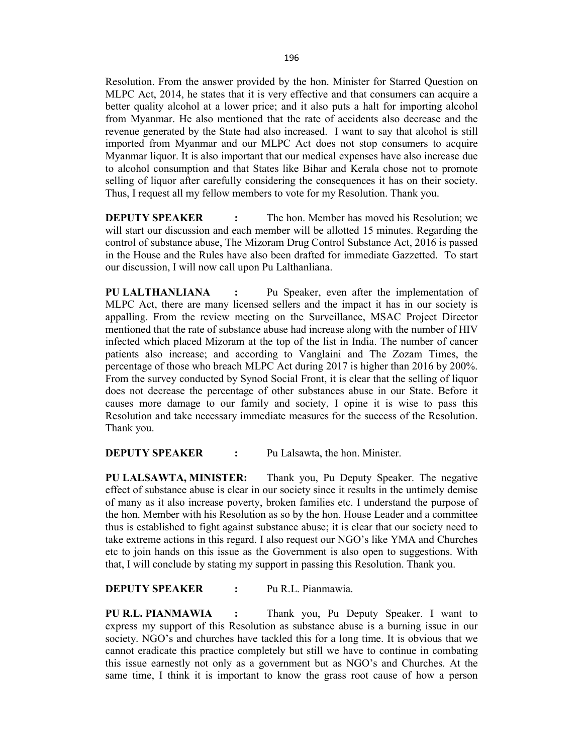Resolution. From the answer provided by the hon. Minister for Starred Question on MLPC Act, 2014, he states that it is very effective and that consumers can acquire a better quality alcohol at a lower price; and it also puts a halt for importing alcohol from Myanmar. He also mentioned that the rate of accidents also decrease and the revenue generated by the State had also increased. I want to say that alcohol is still imported from Myanmar and our MLPC Act does not stop consumers to acquire Myanmar liquor. It is also important that our medical expenses have also increase due to alcohol consumption and that States like Bihar and Kerala chose not to promote selling of liquor after carefully considering the consequences it has on their society. Thus, I request all my fellow members to vote for my Resolution. Thank you.

**DEPUTY SPEAKER** : The hon. Member has moved his Resolution; we will start our discussion and each member will be allotted 15 minutes. Regarding the control of substance abuse, The Mizoram Drug Control Substance Act, 2016 is passed in the House and the Rules have also been drafted for immediate Gazzetted. To start our discussion, I will now call upon Pu Lalthanliana.

**PU LALTHANLIANA :** Pu Speaker, even after the implementation of MLPC Act, there are many licensed sellers and the impact it has in our society is appalling. From the review meeting on the Surveillance, MSAC Project Director mentioned that the rate of substance abuse had increase along with the number of HIV infected which placed Mizoram at the top of the list in India. The number of cancer patients also increase; and according to Vanglaini and The Zozam Times, the percentage of those who breach MLPC Act during 2017 is higher than 2016 by 200%. From the survey conducted by Synod Social Front, it is clear that the selling of liquor does not decrease the percentage of other substances abuse in our State. Before it causes more damage to our family and society, I opine it is wise to pass this Resolution and take necessary immediate measures for the success of the Resolution. Thank you.

**DEPUTY SPEAKER :** Pu Lalsawta, the hon. Minister.

**PU LALSAWTA, MINISTER:** Thank you, Pu Deputy Speaker. The negative effect of substance abuse is clear in our society since it results in the untimely demise of many as it also increase poverty, broken families etc. I understand the purpose of the hon. Member with his Resolution as so by the hon. House Leader and a committee thus is established to fight against substance abuse; it is clear that our society need to take extreme actions in this regard. I also request our NGO's like YMA and Churches etc to join hands on this issue as the Government is also open to suggestions. With that, I will conclude by stating my support in passing this Resolution. Thank you.

#### **DEPUTY SPEAKER :** Pu R.L. Pianmawia.

**PU R.L. PIANMAWIA :** Thank you, Pu Deputy Speaker. I want to express my support of this Resolution as substance abuse is a burning issue in our society. NGO's and churches have tackled this for a long time. It is obvious that we cannot eradicate this practice completely but still we have to continue in combating this issue earnestly not only as a government but as NGO's and Churches. At the same time, I think it is important to know the grass root cause of how a person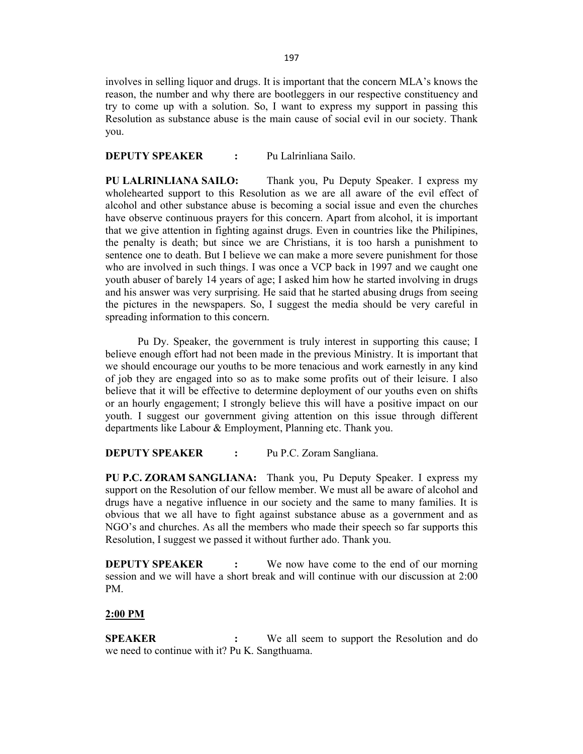involves in selling liquor and drugs. It is important that the concern MLA's knows the reason, the number and why there are bootleggers in our respective constituency and try to come up with a solution. So, I want to express my support in passing this Resolution as substance abuse is the main cause of social evil in our society. Thank you.

### **DEPUTY SPEAKER :** Pu Lalrinliana Sailo.

**PU LALRINLIANA SAILO:** Thank you, Pu Deputy Speaker. I express my wholehearted support to this Resolution as we are all aware of the evil effect of alcohol and other substance abuse is becoming a social issue and even the churches have observe continuous prayers for this concern. Apart from alcohol, it is important that we give attention in fighting against drugs. Even in countries like the Philipines, the penalty is death; but since we are Christians, it is too harsh a punishment to sentence one to death. But I believe we can make a more severe punishment for those who are involved in such things. I was once a VCP back in 1997 and we caught one youth abuser of barely 14 years of age; I asked him how he started involving in drugs and his answer was very surprising. He said that he started abusing drugs from seeing the pictures in the newspapers. So, I suggest the media should be very careful in spreading information to this concern.

Pu Dy. Speaker, the government is truly interest in supporting this cause; I believe enough effort had not been made in the previous Ministry. It is important that we should encourage our youths to be more tenacious and work earnestly in any kind of job they are engaged into so as to make some profits out of their leisure. I also believe that it will be effective to determine deployment of our youths even on shifts or an hourly engagement; I strongly believe this will have a positive impact on our youth. I suggest our government giving attention on this issue through different departments like Labour & Employment, Planning etc. Thank you.

**DEPUTY SPEAKER :** Pu P.C. Zoram Sangliana.

**PU P.C. ZORAM SANGLIANA:** Thank you, Pu Deputy Speaker. I express my support on the Resolution of our fellow member. We must all be aware of alcohol and drugs have a negative influence in our society and the same to many families. It is obvious that we all have to fight against substance abuse as a government and as NGO's and churches. As all the members who made their speech so far supports this Resolution, I suggest we passed it without further ado. Thank you.

**DEPUTY SPEAKER :** We now have come to the end of our morning session and we will have a short break and will continue with our discussion at 2:00 PM.

### **2:00 PM**

**SPEAKER** : We all seem to support the Resolution and do we need to continue with it? Pu K. Sangthuama.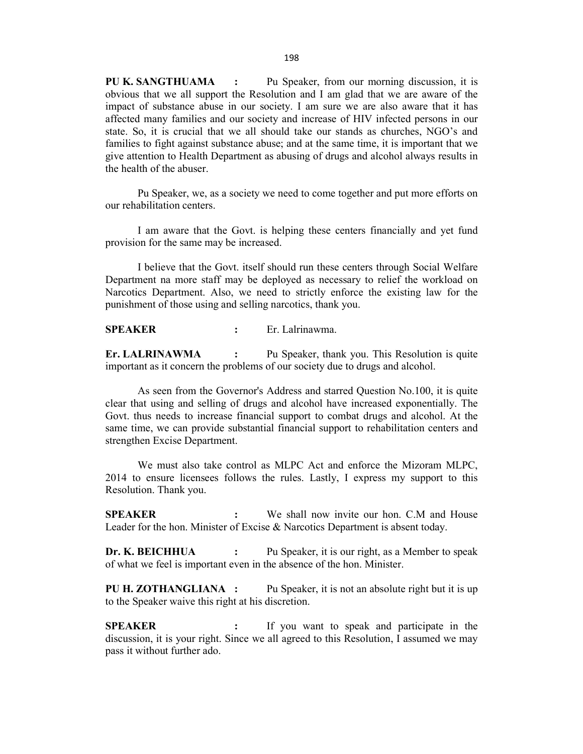**PU K. SANGTHUAMA :** Pu Speaker, from our morning discussion, it is obvious that we all support the Resolution and I am glad that we are aware of the impact of substance abuse in our society. I am sure we are also aware that it has affected many families and our society and increase of HIV infected persons in our state. So, it is crucial that we all should take our stands as churches, NGO's and families to fight against substance abuse; and at the same time, it is important that we give attention to Health Department as abusing of drugs and alcohol always results in the health of the abuser.

Pu Speaker, we, as a society we need to come together and put more efforts on our rehabilitation centers.

I am aware that the Govt. is helping these centers financially and yet fund provision for the same may be increased.

I believe that the Govt. itself should run these centers through Social Welfare Department na more staff may be deployed as necessary to relief the workload on Narcotics Department. Also, we need to strictly enforce the existing law for the punishment of those using and selling narcotics, thank you.

**SPEAKER :** Er. Lalrinawma.

**Er. LALRINAWMA :** Pu Speaker, thank you. This Resolution is quite important as it concern the problems of our society due to drugs and alcohol.

As seen from the Governor's Address and starred Question No.100, it is quite clear that using and selling of drugs and alcohol have increased exponentially. The Govt. thus needs to increase financial support to combat drugs and alcohol. At the same time, we can provide substantial financial support to rehabilitation centers and strengthen Excise Department.

We must also take control as MLPC Act and enforce the Mizoram MLPC, 2014 to ensure licensees follows the rules. Lastly, I express my support to this Resolution. Thank you.

**SPEAKER :** We shall now invite our hon. C.M and House Leader for the hon. Minister of Excise & Narcotics Department is absent today.

**Dr. K. BEICHHUA :** Pu Speaker, it is our right, as a Member to speak of what we feel is important even in the absence of the hon. Minister.

**PU H. ZOTHANGLIANA :** Pu Speaker, it is not an absolute right but it is up to the Speaker waive this right at his discretion.

**SPEAKER :** If you want to speak and participate in the discussion, it is your right. Since we all agreed to this Resolution, I assumed we may pass it without further ado.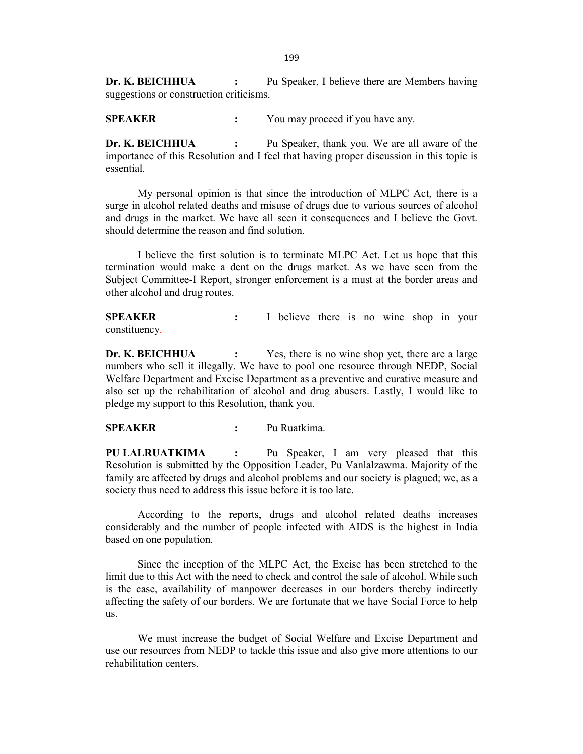**Dr. K. BEICHHUA** : Pu Speaker, I believe there are Members having suggestions or construction criticisms.

**SPEAKER :** You may proceed if you have any.

**Dr. K. BEICHHUA :** Pu Speaker, thank you. We are all aware of the importance of this Resolution and I feel that having proper discussion in this topic is essential.

My personal opinion is that since the introduction of MLPC Act, there is a surge in alcohol related deaths and misuse of drugs due to various sources of alcohol and drugs in the market. We have all seen it consequences and I believe the Govt. should determine the reason and find solution.

I believe the first solution is to terminate MLPC Act. Let us hope that this termination would make a dent on the drugs market. As we have seen from the Subject Committee-I Report, stronger enforcement is a must at the border areas and other alcohol and drug routes.

**SPEAKER :** I believe there is no wine shop in your constituency.

**Dr. K. BEICHHUA :** Yes, there is no wine shop yet, there are a large numbers who sell it illegally. We have to pool one resource through NEDP, Social Welfare Department and Excise Department as a preventive and curative measure and also set up the rehabilitation of alcohol and drug abusers. Lastly, I would like to pledge my support to this Resolution, thank you.

**SPEAKER :** Pu Ruatkima.

**PU LALRUATKIMA :** Pu Speaker, I am very pleased that this Resolution is submitted by the Opposition Leader, Pu Vanlalzawma. Majority of the family are affected by drugs and alcohol problems and our society is plagued; we, as a society thus need to address this issue before it is too late.

According to the reports, drugs and alcohol related deaths increases considerably and the number of people infected with AIDS is the highest in India based on one population.

Since the inception of the MLPC Act, the Excise has been stretched to the limit due to this Act with the need to check and control the sale of alcohol. While such is the case, availability of manpower decreases in our borders thereby indirectly affecting the safety of our borders. We are fortunate that we have Social Force to help us.

We must increase the budget of Social Welfare and Excise Department and use our resources from NEDP to tackle this issue and also give more attentions to our rehabilitation centers.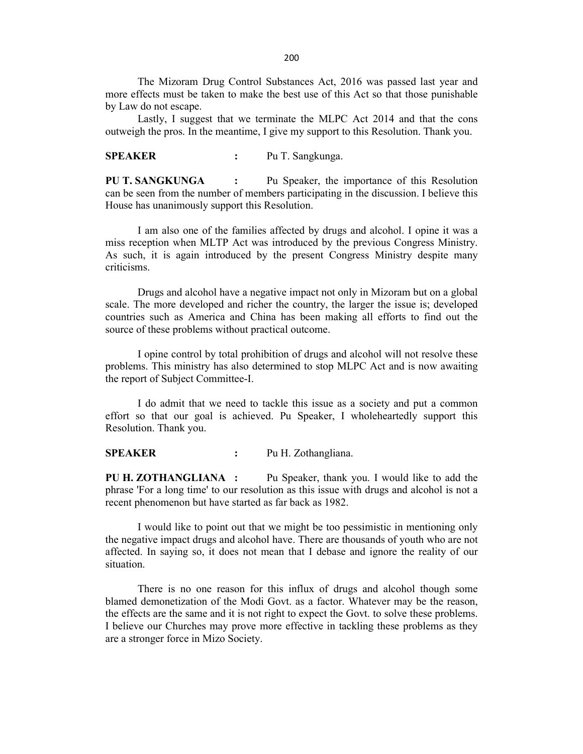The Mizoram Drug Control Substances Act, 2016 was passed last year and more effects must be taken to make the best use of this Act so that those punishable by Law do not escape.

Lastly, I suggest that we terminate the MLPC Act 2014 and that the cons outweigh the pros. In the meantime, I give my support to this Resolution. Thank you.

### **SPEAKER :** Pu T. Sangkunga.

**PU T. SANGKUNGA :** Pu Speaker, the importance of this Resolution can be seen from the number of members participating in the discussion. I believe this House has unanimously support this Resolution.

I am also one of the families affected by drugs and alcohol. I opine it was a miss reception when MLTP Act was introduced by the previous Congress Ministry. As such, it is again introduced by the present Congress Ministry despite many criticisms.

Drugs and alcohol have a negative impact not only in Mizoram but on a global scale. The more developed and richer the country, the larger the issue is; developed countries such as America and China has been making all efforts to find out the source of these problems without practical outcome.

I opine control by total prohibition of drugs and alcohol will not resolve these problems. This ministry has also determined to stop MLPC Act and is now awaiting the report of Subject Committee-I.

I do admit that we need to tackle this issue as a society and put a common effort so that our goal is achieved. Pu Speaker, I wholeheartedly support this Resolution. Thank you.

**SPEAKER :** Pu H. Zothangliana.

**PU H. ZOTHANGLIANA :** Pu Speaker, thank you. I would like to add the phrase 'For a long time' to our resolution as this issue with drugs and alcohol is not a recent phenomenon but have started as far back as 1982.

I would like to point out that we might be too pessimistic in mentioning only the negative impact drugs and alcohol have. There are thousands of youth who are not affected. In saying so, it does not mean that I debase and ignore the reality of our situation.

There is no one reason for this influx of drugs and alcohol though some blamed demonetization of the Modi Govt. as a factor. Whatever may be the reason, the effects are the same and it is not right to expect the Govt. to solve these problems. I believe our Churches may prove more effective in tackling these problems as they are a stronger force in Mizo Society.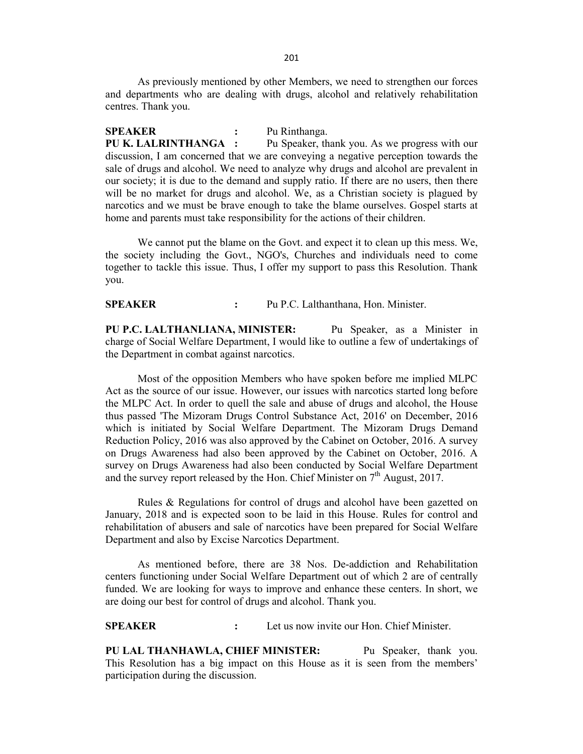As previously mentioned by other Members, we need to strengthen our forces and departments who are dealing with drugs, alcohol and relatively rehabilitation centres. Thank you.

**SPEAKER :** Pu Rinthanga. **PU K. LALRINTHANGA :** Pu Speaker, thank you. As we progress with our discussion, I am concerned that we are conveying a negative perception towards the sale of drugs and alcohol. We need to analyze why drugs and alcohol are prevalent in our society; it is due to the demand and supply ratio. If there are no users, then there will be no market for drugs and alcohol. We, as a Christian society is plagued by narcotics and we must be brave enough to take the blame ourselves. Gospel starts at home and parents must take responsibility for the actions of their children.

We cannot put the blame on the Govt. and expect it to clean up this mess. We, the society including the Govt., NGO's, Churches and individuals need to come together to tackle this issue. Thus, I offer my support to pass this Resolution. Thank you.

**SPEAKER :** Pu P.C. Lalthanthana, Hon. Minister.

**PU P.C. LALTHANLIANA, MINISTER:** Pu Speaker, as a Minister in charge of Social Welfare Department, I would like to outline a few of undertakings of the Department in combat against narcotics.

Most of the opposition Members who have spoken before me implied MLPC Act as the source of our issue. However, our issues with narcotics started long before the MLPC Act. In order to quell the sale and abuse of drugs and alcohol, the House thus passed 'The Mizoram Drugs Control Substance Act, 2016' on December, 2016 which is initiated by Social Welfare Department. The Mizoram Drugs Demand Reduction Policy, 2016 was also approved by the Cabinet on October, 2016. A survey on Drugs Awareness had also been approved by the Cabinet on October, 2016. A survey on Drugs Awareness had also been conducted by Social Welfare Department and the survey report released by the Hon. Chief Minister on  $7<sup>th</sup>$  August, 2017.

Rules & Regulations for control of drugs and alcohol have been gazetted on January, 2018 and is expected soon to be laid in this House. Rules for control and rehabilitation of abusers and sale of narcotics have been prepared for Social Welfare Department and also by Excise Narcotics Department.

As mentioned before, there are 38 Nos. De-addiction and Rehabilitation centers functioning under Social Welfare Department out of which 2 are of centrally funded. We are looking for ways to improve and enhance these centers. In short, we are doing our best for control of drugs and alcohol. Thank you.

**SPEAKER :** Let us now invite our Hon. Chief Minister.

**PU LAL THANHAWLA, CHIEF MINISTER:** Pu Speaker, thank you. This Resolution has a big impact on this House as it is seen from the members' participation during the discussion.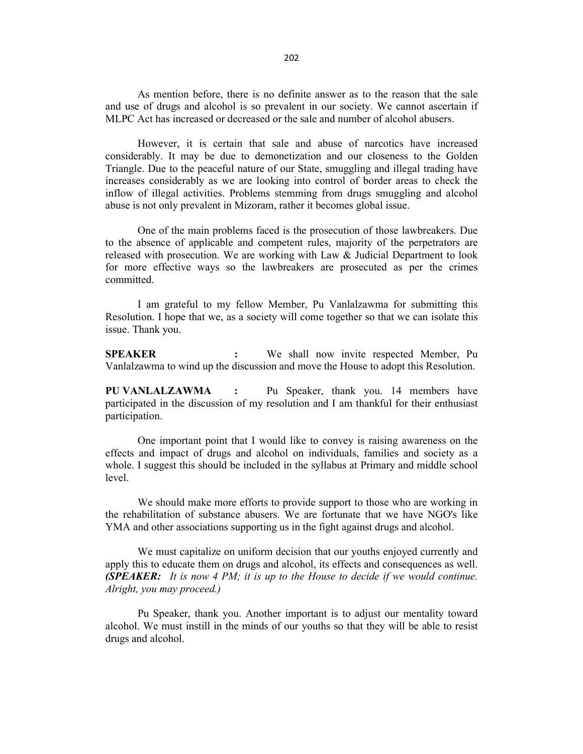As mention before, there is no definite answer as to the reason that the sale and use of drugs and alcohol is so prevalent in our society. We cannot ascertain if MLPC Act has increased or decreased or the sale and number of alcohol abusers.

However, it is certain that sale and abuse of narcotics have increased considerably. It may be due to demonetization and our closeness to the Golden Triangle. Due to the peaceful nature of our State, smuggling and illegal trading have increases considerably as we are looking into control of border areas to check the inflow of illegal activities. Problems stemming from drugs smuggling and alcohol abuse is not only prevalent in Mizoram, rather it becomes global issue.

One of the main problems faced is the prosecution of those lawbreakers. Due to the absence of applicable and competent rules, majority of the perpetrators are released with prosecution. We are working with Law & Judicial Department to look for more effective ways so the lawbreakers are prosecuted as per the crimes committed.

I am grateful to my fellow Member, Pu Vanlalzawma for submitting this Resolution. I hope that we, as a society will come together so that we can isolate this issue. Thank you.

**SPEAKER :** We shall now invite respected Member, Pu Vanlalzawma to wind up the discussion and move the House to adopt this Resolution.

**PU VANLALZAWMA :** Pu Speaker, thank you. 14 members have participated in the discussion of my resolution and I am thankful for their enthusiast participation.

One important point that I would like to convey is raising awareness on the effects and impact of drugs and alcohol on individuals, families and society as a whole. I suggest this should be included in the syllabus at Primary and middle school level.

We should make more efforts to provide support to those who are working in the rehabilitation of substance abusers. We are fortunate that we have NGO's like YMA and other associations supporting us in the fight against drugs and alcohol.

We must capitalize on uniform decision that our youths enjoyed currently and apply this to educate them on drugs and alcohol, its effects and consequences as well. *(SPEAKER: It is now 4 PM; it is up to the House to decide if we would continue. Alright, you may proceed.)*

Pu Speaker, thank you. Another important is to adjust our mentality toward alcohol. We must instill in the minds of our youths so that they will be able to resist drugs and alcohol.